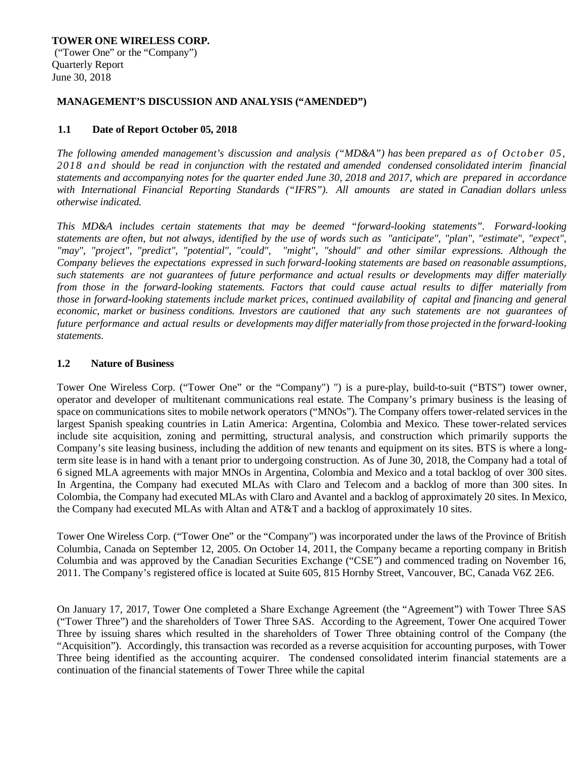**TOWER ONE WIRELESS CORP.** ("Tower One" or the "Company") Quarterly Report June 30, 2018

#### **MANAGEMENT'S DISCUSSION AND ANALYSIS ("AMENDED")**

## **1.1 Date of Report October 05, 2018**

*The following amended management's discussion and analysis ("MD&A") has been prepared as of October 05, 2018 and should be read in conjunction with the restated and amended condensed consolidated interim financial statements and accompanying notes for the quarter ended June 30, 2018 and 2017, which are prepared in accordance with International Financial Reporting Standards ("IFRS"). All amounts are stated in Canadian dollars unless otherwise indicated.*

*This MD&A includes certain statements that may be deemed "forward-looking statements". Forward-looking* statements are often, but not always, identified by the use of words such as "anticipate", "plan", "estimate", "expect", *"may", "project", "predict", "potential", "could", "might", "should" and other similar expressions. Although the Company believes the expectations expressed in such forward-looking statements are based on reasonable assumptions,* such statements are not guarantees of future performance and actual results or developments may differ materially *from those in the forward-looking statements. Factors that could cause actual results to differ materially from those in forward-looking statements include market prices, continued availability of capital and financing and general economic, market or business conditions. Investors are cautioned that any such statements are not guarantees of future performance and actual results or developments may differ materially from those projected in the forward-looking statements.*

### **1.2 Nature of Business**

Tower One Wireless Corp. ("Tower One" or the "Company") ") is a pure-play, build-to-suit ("BTS") tower owner, operator and developer of multitenant communications real estate. The Company's primary business is the leasing of space on communications sites to mobile network operators ("MNOs"). The Company offers tower-related services in the largest Spanish speaking countries in Latin America: Argentina, Colombia and Mexico. These tower-related services include site acquisition, zoning and permitting, structural analysis, and construction which primarily supports the Company's site leasing business, including the addition of new tenants and equipment on its sites. BTS is where a longterm site lease is in hand with a tenant prior to undergoing construction. As of June 30, 2018, the Company had a total of 6 signed MLA agreements with major MNOs in Argentina, Colombia and Mexico and a total backlog of over 300 sites. In Argentina, the Company had executed MLAs with Claro and Telecom and a backlog of more than 300 sites. In Colombia, the Company had executed MLAs with Claro and Avantel and a backlog of approximately 20 sites. In Mexico, the Company had executed MLAs with Altan and AT&T and a backlog of approximately 10 sites.

Tower One Wireless Corp. ("Tower One" or the "Company") was incorporated under the laws of the Province of British Columbia, Canada on September 12, 2005. On October 14, 2011, the Company became a reporting company in British Columbia and was approved by the Canadian Securities Exchange ("CSE") and commenced trading on November 16, 2011. The Company's registered office is located at Suite 605, 815 Hornby Street, Vancouver, BC, Canada V6Z 2E6.

On January 17, 2017, Tower One completed a Share Exchange Agreement (the "Agreement") with Tower Three SAS ("Tower Three") and the shareholders of Tower Three SAS. According to the Agreement, Tower One acquired Tower Three by issuing shares which resulted in the shareholders of Tower Three obtaining control of the Company (the "Acquisition"). Accordingly, this transaction was recorded as a reverse acquisition for accounting purposes, with Tower Three being identified as the accounting acquirer. The condensed consolidated interim financial statements are a continuation of the financial statements of Tower Three while the capital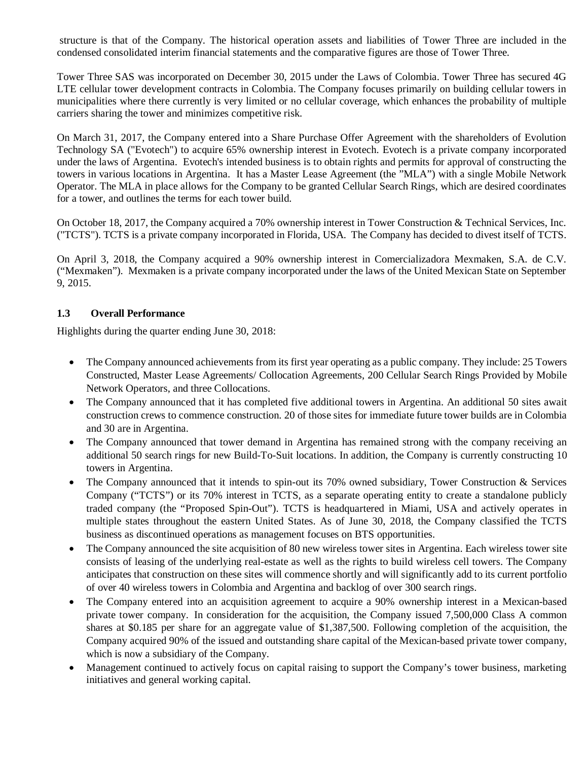structure is that of the Company. The historical operation assets and liabilities of Tower Three are included in the condensed consolidated interim financial statements and the comparative figures are those of Tower Three.

Tower Three SAS was incorporated on December 30, 2015 under the Laws of Colombia. Tower Three has secured 4G LTE cellular tower development contracts in Colombia. The Company focuses primarily on building cellular towers in municipalities where there currently is very limited or no cellular coverage, which enhances the probability of multiple carriers sharing the tower and minimizes competitive risk.

On March 31, 2017, the Company entered into a Share Purchase Offer Agreement with the shareholders of Evolution Technology SA ("Evotech") to acquire 65% ownership interest in Evotech. Evotech is a private company incorporated under the laws of Argentina. Evotech's intended business is to obtain rights and permits for approval of constructing the towers in various locations in Argentina. It has a Master Lease Agreement (the "MLA") with a single Mobile Network Operator. The MLA in place allows for the Company to be granted Cellular Search Rings, which are desired coordinates for a tower, and outlines the terms for each tower build.

On October 18, 2017, the Company acquired a 70% ownership interest in Tower Construction & Technical Services, Inc. ("TCTS"). TCTS is a private company incorporated in Florida, USA. The Company has decided to divest itself of TCTS.

On April 3, 2018, the Company acquired a 90% ownership interest in Comercializadora Mexmaken, S.A. de C.V. ("Mexmaken"). Mexmaken is a private company incorporated under the laws of the United Mexican State on September 9, 2015.

## **1.3 Overall Performance**

Highlights during the quarter ending June 30, 2018:

- The Company announced achievements from its first year operating as a public company. They include: 25 Towers Constructed, Master Lease Agreements/ Collocation Agreements, 200 Cellular Search Rings Provided by Mobile Network Operators, and three Collocations.
- The Company announced that it has completed five additional towers in Argentina. An additional 50 sites await construction crews to commence construction. 20 of those sites for immediate future tower builds are in Colombia and 30 are in Argentina.
- The Company announced that tower demand in Argentina has remained strong with the company receiving an additional 50 search rings for new Build-To-Suit locations. In addition, the Company is currently constructing 10 towers in Argentina.
- The Company announced that it intends to spin-out its 70% owned subsidiary, Tower Construction & Services Company ("TCTS") or its 70% interest in TCTS, as a separate operating entity to create a standalone publicly traded company (the "Proposed Spin-Out"). TCTS is headquartered in Miami, USA and actively operates in multiple states throughout the eastern United States. As of June 30, 2018, the Company classified the TCTS business as discontinued operations as management focuses on BTS opportunities.
- The Company announced the site acquisition of 80 new wireless tower sites in Argentina. Each wireless tower site consists of leasing of the underlying real-estate as well as the rights to build wireless cell towers. The Company anticipates that construction on these sites will commence shortly and will significantly add to its current portfolio of over 40 wireless towers in Colombia and Argentina and backlog of over 300 search rings.
- The Company entered into an acquisition agreement to acquire a 90% ownership interest in a Mexican-based private tower company. In consideration for the acquisition, the Company issued 7,500,000 Class A common shares at \$0.185 per share for an aggregate value of \$1,387,500. Following completion of the acquisition, the Company acquired 90% of the issued and outstanding share capital of the Mexican-based private tower company, which is now a subsidiary of the Company.
- Management continued to actively focus on capital raising to support the Company's tower business, marketing initiatives and general working capital.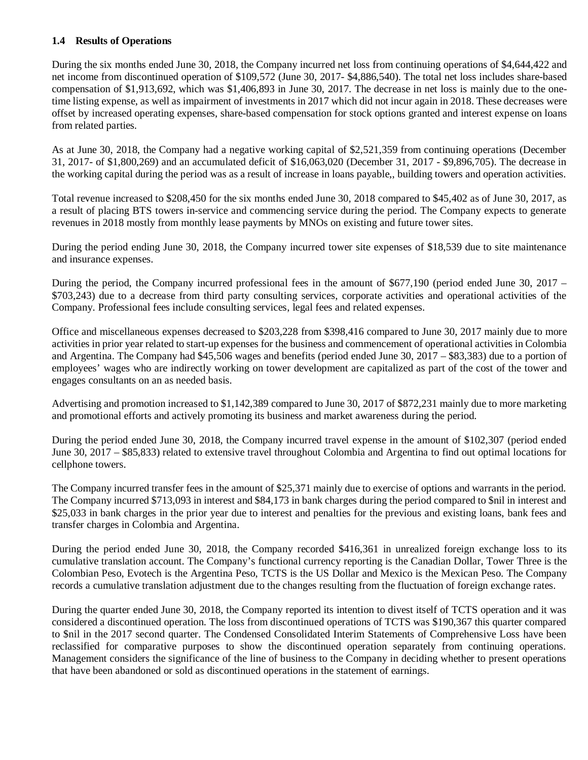## **1.4 Results of Operations**

During the six months ended June 30, 2018, the Company incurred net loss from continuing operations of \$4,644,422 and net income from discontinued operation of \$109,572 (June 30, 2017- \$4,886,540). The total net loss includes share-based compensation of \$1,913,692, which was \$1,406,893 in June 30, 2017. The decrease in net loss is mainly due to the onetime listing expense, as well as impairment of investments in 2017 which did not incur again in 2018. These decreases were offset by increased operating expenses, share-based compensation for stock options granted and interest expense on loans from related parties.

As at June 30, 2018, the Company had a negative working capital of \$2,521,359 from continuing operations (December 31, 2017- of \$1,800,269) and an accumulated deficit of \$16,063,020 (December 31, 2017 - \$9,896,705). The decrease in the working capital during the period was as a result of increase in loans payable,, building towers and operation activities.

Total revenue increased to \$208,450 for the six months ended June 30, 2018 compared to \$45,402 as of June 30, 2017, as a result of placing BTS towers in-service and commencing service during the period. The Company expects to generate revenues in 2018 mostly from monthly lease payments by MNOs on existing and future tower sites.

During the period ending June 30, 2018, the Company incurred tower site expenses of \$18,539 due to site maintenance and insurance expenses.

During the period, the Company incurred professional fees in the amount of \$677,190 (period ended June 30, 2017 – \$703,243) due to a decrease from third party consulting services, corporate activities and operational activities of the Company. Professional fees include consulting services, legal fees and related expenses.

Office and miscellaneous expenses decreased to \$203,228 from \$398,416 compared to June 30, 2017 mainly due to more activities in prior year related to start-up expenses for the business and commencement of operational activities in Colombia and Argentina. The Company had \$45,506 wages and benefits (period ended June 30, 2017 – \$83,383) due to a portion of employees' wages who are indirectly working on tower development are capitalized as part of the cost of the tower and engages consultants on an as needed basis.

Advertising and promotion increased to \$1,142,389 compared to June 30, 2017 of \$872,231 mainly due to more marketing and promotional efforts and actively promoting its business and market awareness during the period.

During the period ended June 30, 2018, the Company incurred travel expense in the amount of \$102,307 (period ended June 30, 2017 – \$85,833) related to extensive travel throughout Colombia and Argentina to find out optimal locations for cellphone towers.

The Company incurred transfer fees in the amount of \$25,371 mainly due to exercise of options and warrants in the period. The Company incurred \$713,093 in interest and \$84,173 in bank charges during the period compared to \$nil in interest and \$25,033 in bank charges in the prior year due to interest and penalties for the previous and existing loans, bank fees and transfer charges in Colombia and Argentina.

During the period ended June 30, 2018, the Company recorded \$416,361 in unrealized foreign exchange loss to its cumulative translation account. The Company's functional currency reporting is the Canadian Dollar, Tower Three is the Colombian Peso, Evotech is the Argentina Peso, TCTS is the US Dollar and Mexico is the Mexican Peso. The Company records a cumulative translation adjustment due to the changes resulting from the fluctuation of foreign exchange rates.

During the quarter ended June 30, 2018, the Company reported its intention to divest itself of TCTS operation and it was considered a discontinued operation. The loss from discontinued operations of TCTS was \$190,367 this quarter compared to \$nil in the 2017 second quarter. The Condensed Consolidated Interim Statements of Comprehensive Loss have been reclassified for comparative purposes to show the discontinued operation separately from continuing operations. Management considers the significance of the line of business to the Company in deciding whether to present operations that have been abandoned or sold as discontinued operations in the statement of earnings.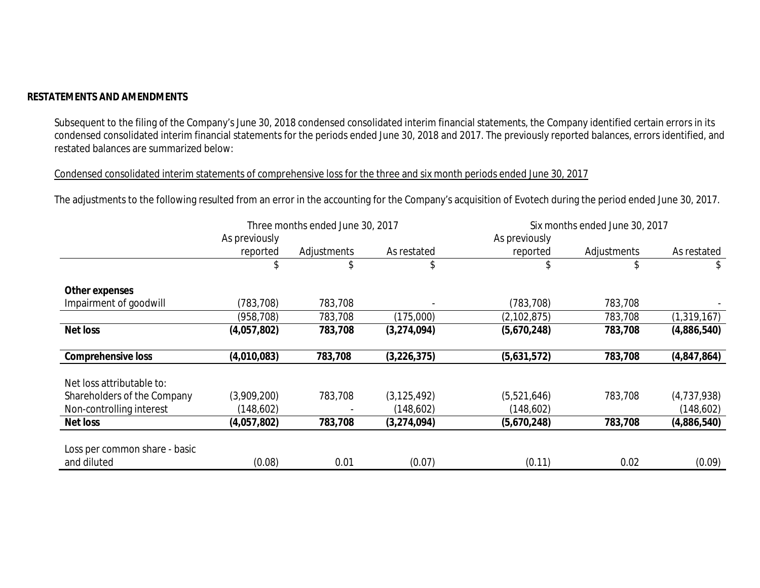## **RESTATEMENTS AND AMENDMENTS**

Subsequent to the filing of the Company's June 30, 2018 condensed consolidated interim financial statements, the Company identified certain errors in its condensed consolidated interim financial statements for the periods ended June 30, 2018 and 2017. The previously reported balances, errors identified, and restated balances are summarized below:

Condensed consolidated interim statements of comprehensive loss for the three and six month periods ended June 30, 2017

The adjustments to the following resulted from an error in the accounting for the Company's acquisition of Evotech during the period ended June 30, 2017.

|                                              |               | Three months ended June 30, 2017 |               | Six months ended June 30, 2017 |             |               |  |
|----------------------------------------------|---------------|----------------------------------|---------------|--------------------------------|-------------|---------------|--|
|                                              | As previously |                                  |               | As previously                  |             |               |  |
|                                              | reported      | Adjustments                      | As restated   | reported                       | Adjustments | As restated   |  |
|                                              | \$            |                                  | \$            |                                |             | \$            |  |
| <b>Other expenses</b>                        |               |                                  |               |                                |             |               |  |
| Impairment of goodwill                       | (783, 708)    | 783,708                          |               | (783, 708)                     | 783,708     |               |  |
|                                              | (958,708)     | 783,708                          | (175,000)     | (2, 102, 875)                  | 783,708     | (1, 319, 167) |  |
| <b>Net loss</b>                              | (4,057,802)   | 783,708                          | (3,274,094)   | (5,670,248)                    | 783,708     | (4,886,540)   |  |
| <b>Comprehensive loss</b>                    | (4,010,083)   | 783,708                          | (3, 226, 375) | (5,631,572)                    | 783,708     | (4,847,864)   |  |
| Net loss attributable to:                    |               |                                  |               |                                |             |               |  |
| Shareholders of the Company                  | (3,909,200)   | 783,708                          | (3, 125, 492) | (5,521,646)                    | 783,708     | (4,737,938)   |  |
| Non-controlling interest                     | (148,602)     |                                  | (148,602)     | (148,602)                      |             | (148,602)     |  |
| <b>Net loss</b>                              | (4,057,802)   | 783,708                          | (3,274,094)   | (5,670,248)                    | 783,708     | (4,886,540)   |  |
| Loss per common share - basic<br>and diluted | (0.08)        | 0.01                             | (0.07)        | (0.11)                         | 0.02        | (0.09)        |  |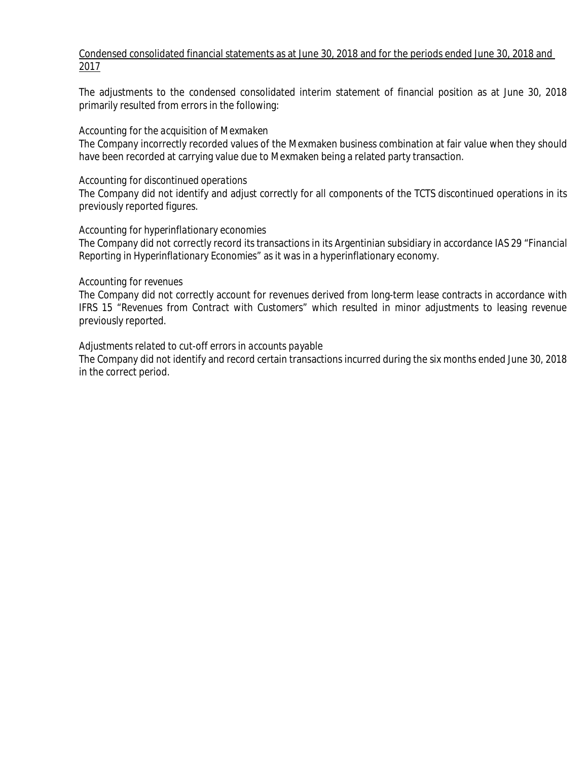# Condensed consolidated financial statements as at June 30, 2018 and for the periods ended June 30, 2018 and 2017

The adjustments to the condensed consolidated interim statement of financial position as at June 30, 2018 primarily resulted from errors in the following:

## *Accounting for the acquisition of Mexmaken*

The Company incorrectly recorded values of the Mexmaken business combination at fair value when they should have been recorded at carrying value due to Mexmaken being a related party transaction.

## *Accounting for discontinued operations*

The Company did not identify and adjust correctly for all components of the TCTS discontinued operations in its previously reported figures.

## *Accounting for hyperinflationary economies*

The Company did not correctly record its transactions in its Argentinian subsidiary in accordance IAS 29 "*Financial Reporting in Hyperinflationary Economies"* as it was in a hyperinflationary economy.

### *Accounting for revenues*

The Company did not correctly account for revenues derived from long-term lease contracts in accordance with IFRS 15 *"Revenues from Contract with Customers"* which resulted in minor adjustments to leasing revenue previously reported*.*

## *Adjustments related to cut-off errors in accounts payable*

The Company did not identify and record certain transactions incurred during the six months ended June 30, 2018 in the correct period.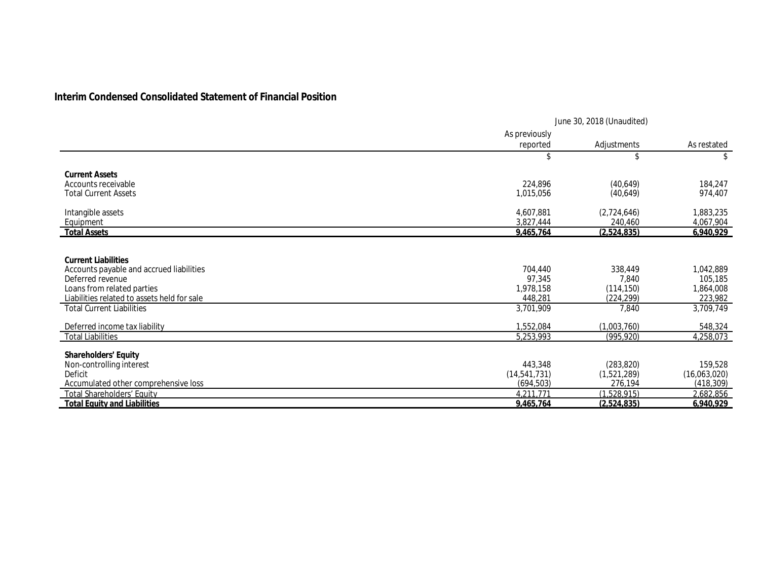# **Interim Condensed Consolidated Statement of Financial Position**

|                                             | June 30, 2018 (Unaudited) |             |              |  |
|---------------------------------------------|---------------------------|-------------|--------------|--|
|                                             | As previously             |             |              |  |
|                                             | reported                  | Adjustments | As restated  |  |
|                                             | \$                        | \$          | \$           |  |
| <b>Current Assets</b>                       |                           |             |              |  |
| Accounts receivable                         | 224,896                   | (40,649)    | 184,247      |  |
| <b>Total Current Assets</b>                 | 1,015,056                 | (40,649)    | 974,407      |  |
| Intangible assets                           | 4,607,881                 | (2,724,646) | 1,883,235    |  |
| Equipment                                   | 3,827,444                 | 240,460     | 4,067,904    |  |
| <b>Total Assets</b>                         | 9,465,764                 | (2,524,835) | 6,940,929    |  |
|                                             |                           |             |              |  |
| <b>Current Liabilities</b>                  |                           |             |              |  |
| Accounts payable and accrued liabilities    | 704,440                   | 338,449     | 1,042,889    |  |
| Deferred revenue                            | 97,345                    | 7,840       | 105,185      |  |
| Loans from related parties                  | 1,978,158                 | (114, 150)  | 1,864,008    |  |
| Liabilities related to assets held for sale | 448,281                   | (224,299)   | 223,982      |  |
| <b>Total Current Liabilities</b>            | 3,701,909                 | 7,840       | 3,709,749    |  |
| Deferred income tax liability               | 1,552,084                 | (1,003,760) | 548,324      |  |
| <b>Total Liabilities</b>                    | 5,253,993                 | (995, 920)  | 4,258,073    |  |
| <b>Shareholders' Equity</b>                 |                           |             |              |  |
| Non-controlling interest                    | 443,348                   | (283, 820)  | 159,528      |  |
| Deficit                                     | (14, 541, 731)            | (1,521,289) | (16,063,020) |  |
| Accumulated other comprehensive loss        | (694, 503)                | 276,194     | (418, 309)   |  |
| <b>Total Shareholders' Equity</b>           | 4.211.771                 | (1,528,915) | 2,682,856    |  |
| <b>Total Equity and Liabilities</b>         | 9.465.764                 | (2.524.835) | 6,940,929    |  |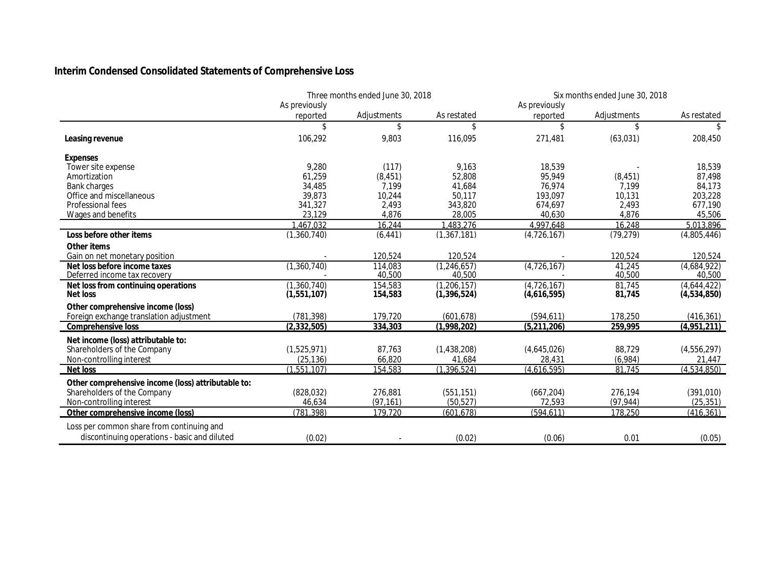# **Interim Condensed Consolidated Statements of Comprehensive Loss**

|                                                    | Three months ended June 30, 2018 |             | Six months ended June 30, 2018 |                    |             |             |
|----------------------------------------------------|----------------------------------|-------------|--------------------------------|--------------------|-------------|-------------|
|                                                    | As previously                    |             |                                | As previously      |             |             |
|                                                    | reported                         | Adjustments | As restated                    | reported           | Adjustments | As restated |
|                                                    | \$                               | \$          | \$                             | \$                 | \$          | \$          |
| Leasing revenue                                    | 106,292                          | 9,803       | 116,095                        | 271,481            | (63,031)    | 208,450     |
| <b>Expenses</b>                                    |                                  |             |                                |                    |             |             |
| Tower site expense                                 | 9,280                            | (117)       | 9,163                          | 18,539             |             | 18,539      |
| Amortization                                       | 61,259                           | (8, 451)    | 52,808                         | 95,949             | (8, 451)    | 87,498      |
| <b>Bank charges</b>                                | 34,485                           | 7,199       | 41,684                         | 76,974             | 7,199       | 84,173      |
| Office and miscellaneous                           | 39,873                           | 10,244      | 50,117                         | 193,097            | 10,131      | 203,228     |
| Professional fees                                  | 341,327                          | 2,493       | 343,820                        | 674,697            | 2.493       | 677.190     |
| Wages and benefits                                 | 23.129                           | 4,876       | 28,005                         | 40,630             | 4,876       | 45,506      |
|                                                    | ,467,032                         | 16,244      | 1,483,276                      | 4,997,648          | 16,248      | 5,013,896   |
| Loss before other items                            | (1,360,740)                      | (6, 441)    | (1,367,181)                    | (4,726,167)        | (79, 279)   | (4,805,446) |
| Other items                                        |                                  |             |                                |                    |             |             |
| Gain on net monetary position                      |                                  | 120,524     | 120,524                        |                    | 120,524     | 120,524     |
| Net loss before income taxes                       | (1,360,740)                      | 114,083     | (1,246,657)                    | (4,726,167)        | 41,245      | (4.684.922) |
| Deferred income tax recovery                       |                                  | 40,500      | 40,500                         |                    | 40,500      | 40,500      |
| Net loss from continuing operations                | (1,360,740)                      | 154,583     | (1, 206, 157)                  | (4,726,167)        | 81,745      | (4,644,422) |
| <b>Net loss</b>                                    | (1,551,107)                      | 154,583     | (1, 396, 524)                  | (4,616,595)        | 81,745      | (4,534,850) |
| Other comprehensive income (loss)                  |                                  |             |                                |                    |             |             |
| Foreign exchange translation adjustment            | (781, 398)                       | 179,720     | (601, 678)                     | (594, 611)         | 178,250     | (416, 361)  |
| <b>Comprehensive loss</b>                          | (2, 332, 505)                    | 334,303     | (1,998,202)                    | (5,211,206)        | 259,995     | (4,951,211) |
| Net income (loss) attributable to:                 |                                  |             |                                |                    |             |             |
| Shareholders of the Company                        | (1,525,971)                      | 87,763      | (1,438,208)                    | (4,645,026)        | 88,729      | (4,556,297) |
| Non-controlling interest                           | (25, 136)                        | 66,820      | 41,684                         | 28,431             | (6,984)     | 21,447      |
| <b>Net loss</b>                                    | (1,551,107)                      | 154,583     | (1, 396, 524)                  | $\sqrt{4.616,595}$ | 81,745      | (4,534,850) |
| Other comprehensive income (loss) attributable to: |                                  |             |                                |                    |             |             |
| Shareholders of the Company                        | (828, 032)                       | 276,881     | (551, 151)                     | (667, 204)         | 276,194     | (391, 010)  |
| Non-controlling interest                           | 46,634                           | (97, 161)   | (50, 527)                      | 72,593             | (97, 944)   | (25, 351)   |
| Other comprehensive income (loss)                  | (781, 398)                       | 179,720     | (601, 678)                     | (594, 611)         | 178,250     | (416, 361)  |
| Loss per common share from continuing and          |                                  |             |                                |                    |             |             |
| discontinuing operations - basic and diluted       | (0.02)                           |             | (0.02)                         | (0.06)             | 0.01        | (0.05)      |
|                                                    |                                  |             |                                |                    |             |             |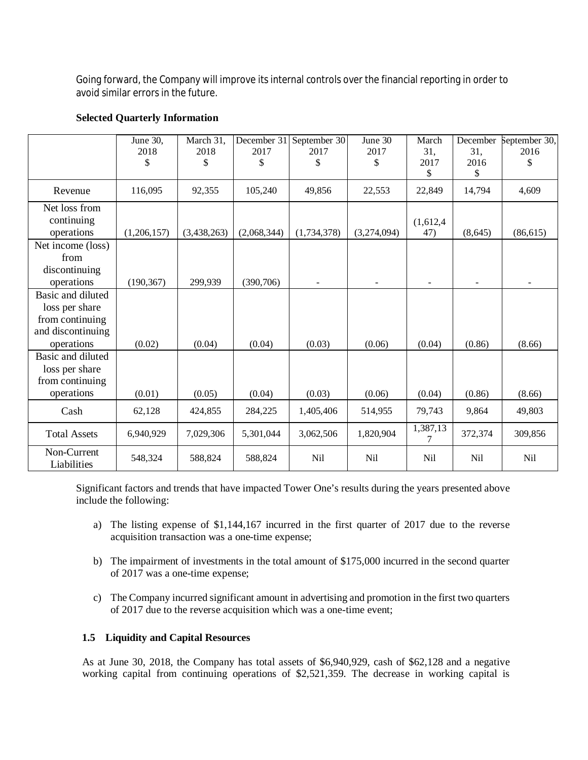Going forward, the Company will improve its internal controls over the financial reporting in order to avoid similar errors in the future.

|                                                                                           | June 30,<br>2018<br>\$ | March 31,<br>2018<br>\$ | December 31<br>2017<br>\$ | September 30<br>2017<br>\$ | June 30<br>2017<br>\$ | March<br>31,<br>2017<br>\$ | December<br>31,<br>2016<br>\$ | September 30,<br>2016<br>\$ |
|-------------------------------------------------------------------------------------------|------------------------|-------------------------|---------------------------|----------------------------|-----------------------|----------------------------|-------------------------------|-----------------------------|
| Revenue                                                                                   | 116,095                | 92,355                  | 105,240                   | 49,856                     | 22,553                | 22,849                     | 14,794                        | 4,609                       |
| Net loss from<br>continuing<br>operations                                                 | (1,206,157)            | (3,438,263)             | (2,068,344)               | (1,734,378)                | (3,274,094)           | (1,612,4)<br>47)           | (8,645)                       | (86, 615)                   |
| Net income (loss)<br>from<br>discontinuing<br>operations                                  | (190, 367)             | 299,939                 | (390,706)                 |                            |                       |                            |                               |                             |
| Basic and diluted<br>loss per share<br>from continuing<br>and discontinuing<br>operations | (0.02)                 | (0.04)                  | (0.04)                    | (0.03)                     | (0.06)                | (0.04)                     | (0.86)                        | (8.66)                      |
| Basic and diluted<br>loss per share<br>from continuing<br>operations                      | (0.01)                 | (0.05)                  | (0.04)                    | (0.03)                     | (0.06)                | (0.04)                     | (0.86)                        | (8.66)                      |
| Cash                                                                                      | 62,128                 | 424,855                 | 284,225                   | 1,405,406                  | 514,955               | 79,743                     | 9,864                         | 49,803                      |
| <b>Total Assets</b>                                                                       | 6,940,929              | 7,029,306               | 5,301,044                 | 3,062,506                  | 1,820,904             | 1,387,13                   | 372,374                       | 309,856                     |
| Non-Current<br>Liabilities                                                                | 548,324                | 588,824                 | 588,824                   | Nil                        | Nil                   | Nil                        | <b>Nil</b>                    | Nil                         |

## **Selected Quarterly Information**

Significant factors and trends that have impacted Tower One's results during the years presented above include the following:

- a) The listing expense of \$1,144,167 incurred in the first quarter of 2017 due to the reverse acquisition transaction was a one-time expense;
- b) The impairment of investments in the total amount of \$175,000 incurred in the second quarter of 2017 was a one-time expense;
- c) The Company incurred significant amount in advertising and promotion in the first two quarters of 2017 due to the reverse acquisition which was a one-time event;

## **1.5 Liquidity and Capital Resources**

As at June 30, 2018, the Company has total assets of \$6,940,929, cash of \$62,128 and a negative working capital from continuing operations of \$2,521,359. The decrease in working capital is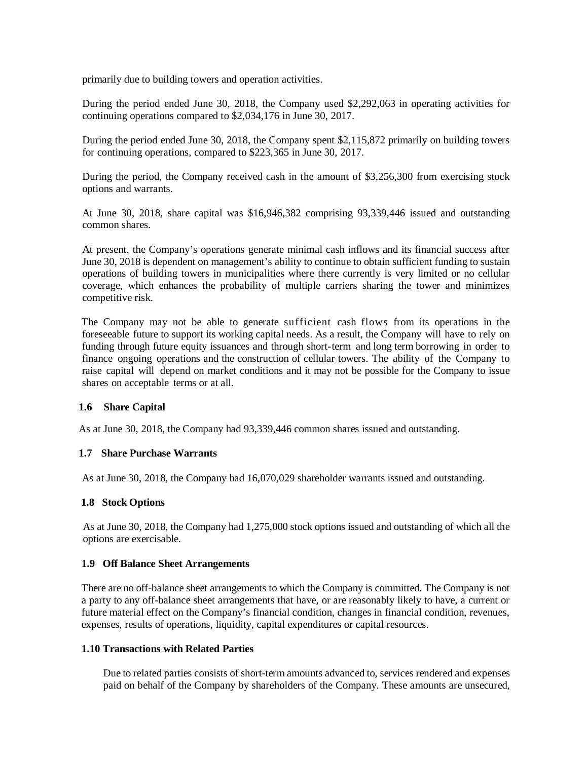primarily due to building towers and operation activities.

During the period ended June 30, 2018, the Company used \$2,292,063 in operating activities for continuing operations compared to \$2,034,176 in June 30, 2017.

During the period ended June 30, 2018, the Company spent \$2,115,872 primarily on building towers for continuing operations, compared to \$223,365 in June 30, 2017.

During the period, the Company received cash in the amount of \$3,256,300 from exercising stock options and warrants.

At June 30, 2018, share capital was \$16,946,382 comprising 93,339,446 issued and outstanding common shares.

At present, the Company's operations generate minimal cash inflows and its financial success after June 30, 2018 is dependent on management's ability to continue to obtain sufficient funding to sustain operations of building towers in municipalities where there currently is very limited or no cellular coverage, which enhances the probability of multiple carriers sharing the tower and minimizes competitive risk.

The Company may not be able to generate sufficient cash flows from its operations in the foreseeable future to support its working capital needs. As a result, the Company will have to rely on funding through future equity issuances and through short-term and long term borrowing in order to finance ongoing operations and the construction of cellular towers. The ability of the Company to raise capital will depend on market conditions and it may not be possible for the Company to issue shares on acceptable terms or at all.

### **1.6 Share Capital**

As at June 30, 2018, the Company had 93,339,446 common shares issued and outstanding.

### **1.7 Share Purchase Warrants**

As at June 30, 2018, the Company had 16,070,029 shareholder warrants issued and outstanding.

#### **1.8 Stock Options**

As at June 30, 2018, the Company had 1,275,000 stock options issued and outstanding of which all the options are exercisable.

#### **1.9 Off Balance Sheet Arrangements**

There are no off-balance sheet arrangements to which the Company is committed. The Company is not a party to any off-balance sheet arrangements that have, or are reasonably likely to have, a current or future material effect on the Company's financial condition, changes in financial condition, revenues, expenses, results of operations, liquidity, capital expenditures or capital resources.

#### **1.10 Transactions with Related Parties**

Due to related parties consists of short-term amounts advanced to, services rendered and expenses paid on behalf of the Company by shareholders of the Company. These amounts are unsecured,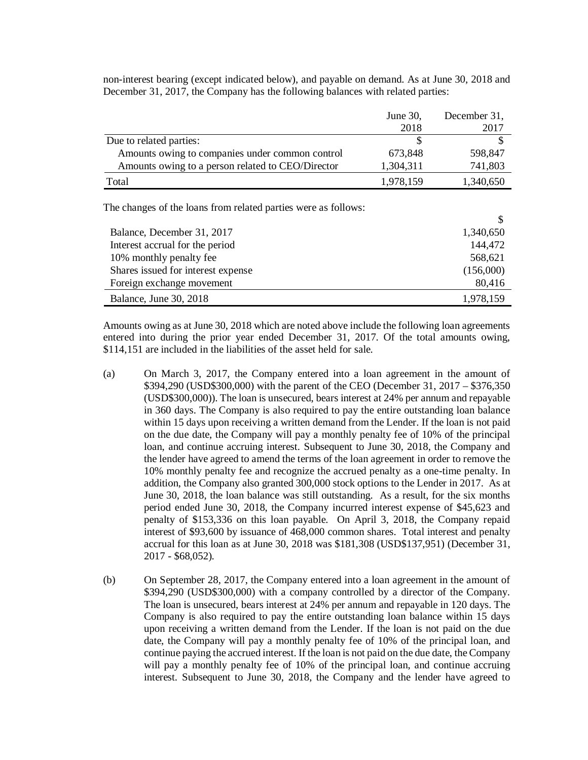|                                                   | June 30,  | December 31, |
|---------------------------------------------------|-----------|--------------|
|                                                   | 2018      | 2017         |
| Due to related parties:                           |           |              |
| Amounts owing to companies under common control   | 673,848   | 598,847      |
| Amounts owing to a person related to CEO/Director | 1,304,311 | 741,803      |
| Total                                             | 1,978,159 | 1,340,650    |

non-interest bearing (except indicated below), and payable on demand. As at June 30, 2018 and December 31, 2017, the Company has the following balances with related parties:

The changes of the loans from related parties were as follows:

| Balance, December 31, 2017         | 1,340,650 |
|------------------------------------|-----------|
| Interest accrual for the period    | 144,472   |
| 10% monthly penalty fee            | 568,621   |
| Shares issued for interest expense | (156,000) |
| Foreign exchange movement          | 80,416    |
| Balance, June 30, 2018             | 1,978,159 |

\$

Amounts owing as at June 30, 2018 which are noted above include the following loan agreements entered into during the prior year ended December 31, 2017. Of the total amounts owing, \$114,151 are included in the liabilities of the asset held for sale.

- (a) On March 3, 2017, the Company entered into a loan agreement in the amount of \$394,290 (USD\$300,000) with the parent of the CEO (December 31, 2017 – \$376,350 (USD\$300,000)). The loan is unsecured, bears interest at 24% per annum and repayable in 360 days. The Company is also required to pay the entire outstanding loan balance within 15 days upon receiving a written demand from the Lender. If the loan is not paid on the due date, the Company will pay a monthly penalty fee of 10% of the principal loan, and continue accruing interest. Subsequent to June 30, 2018, the Company and the lender have agreed to amend the terms of the loan agreement in order to remove the 10% monthly penalty fee and recognize the accrued penalty as a one-time penalty. In addition, the Company also granted 300,000 stock options to the Lender in 2017. As at June 30, 2018, the loan balance was still outstanding. As a result, for the six months period ended June 30, 2018, the Company incurred interest expense of \$45,623 and penalty of \$153,336 on this loan payable. On April 3, 2018, the Company repaid interest of \$93,600 by issuance of 468,000 common shares. Total interest and penalty accrual for this loan as at June 30, 2018 was \$181,308 (USD\$137,951) (December 31, 2017 - \$68,052).
- (b) On September 28, 2017, the Company entered into a loan agreement in the amount of \$394,290 (USD\$300,000) with a company controlled by a director of the Company. The loan is unsecured, bears interest at 24% per annum and repayable in 120 days. The Company is also required to pay the entire outstanding loan balance within 15 days upon receiving a written demand from the Lender. If the loan is not paid on the due date, the Company will pay a monthly penalty fee of 10% of the principal loan, and continue paying the accrued interest. If the loan is not paid on the due date, the Company will pay a monthly penalty fee of 10% of the principal loan, and continue accruing interest. Subsequent to June 30, 2018, the Company and the lender have agreed to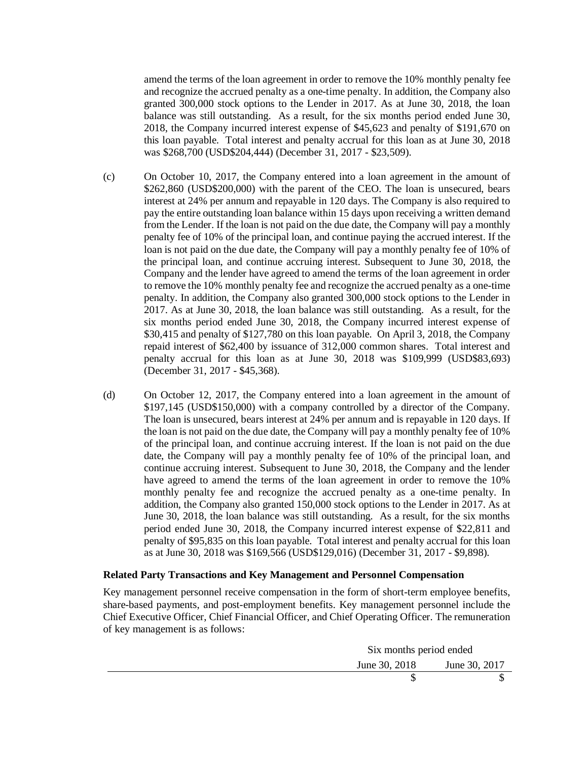amend the terms of the loan agreement in order to remove the 10% monthly penalty fee and recognize the accrued penalty as a one-time penalty. In addition, the Company also granted 300,000 stock options to the Lender in 2017. As at June 30, 2018, the loan balance was still outstanding. As a result, for the six months period ended June 30, 2018, the Company incurred interest expense of \$45,623 and penalty of \$191,670 on this loan payable. Total interest and penalty accrual for this loan as at June 30, 2018 was \$268,700 (USD\$204,444) (December 31, 2017 - \$23,509).

- (c) On October 10, 2017, the Company entered into a loan agreement in the amount of \$262,860 (USD\$200,000) with the parent of the CEO. The loan is unsecured, bears interest at 24% per annum and repayable in 120 days. The Company is also required to pay the entire outstanding loan balance within 15 days upon receiving a written demand from the Lender. If the loan is not paid on the due date, the Company will pay a monthly penalty fee of 10% of the principal loan, and continue paying the accrued interest. If the loan is not paid on the due date, the Company will pay a monthly penalty fee of 10% of the principal loan, and continue accruing interest. Subsequent to June 30, 2018, the Company and the lender have agreed to amend the terms of the loan agreement in order to remove the 10% monthly penalty fee and recognize the accrued penalty as a one-time penalty. In addition, the Company also granted 300,000 stock options to the Lender in 2017. As at June 30, 2018, the loan balance was still outstanding. As a result, for the six months period ended June 30, 2018, the Company incurred interest expense of \$30,415 and penalty of \$127,780 on this loan payable. On April 3, 2018, the Company repaid interest of \$62,400 by issuance of 312,000 common shares. Total interest and penalty accrual for this loan as at June 30, 2018 was \$109,999 (USD\$83,693) (December 31, 2017 - \$45,368).
- (d) On October 12, 2017, the Company entered into a loan agreement in the amount of \$197,145 (USD\$150,000) with a company controlled by a director of the Company. The loan is unsecured, bears interest at 24% per annum and is repayable in 120 days. If the loan is not paid on the due date, the Company will pay a monthly penalty fee of 10% of the principal loan, and continue accruing interest. If the loan is not paid on the due date, the Company will pay a monthly penalty fee of 10% of the principal loan, and continue accruing interest. Subsequent to June 30, 2018, the Company and the lender have agreed to amend the terms of the loan agreement in order to remove the 10% monthly penalty fee and recognize the accrued penalty as a one-time penalty. In addition, the Company also granted 150,000 stock options to the Lender in 2017. As at June 30, 2018, the loan balance was still outstanding. As a result, for the six months period ended June 30, 2018, the Company incurred interest expense of \$22,811 and penalty of \$95,835 on this loan payable. Total interest and penalty accrual for this loan as at June 30, 2018 was \$169,566 (USD\$129,016) (December 31, 2017 - \$9,898).

#### **Related Party Transactions and Key Management and Personnel Compensation**

Key management personnel receive compensation in the form of short-term employee benefits, share-based payments, and post-employment benefits. Key management personnel include the Chief Executive Officer, Chief Financial Officer, and Chief Operating Officer. The remuneration of key management is as follows:

|               | Six months period ended |  |  |
|---------------|-------------------------|--|--|
| June 30, 2018 | June 30, 2017           |  |  |
|               |                         |  |  |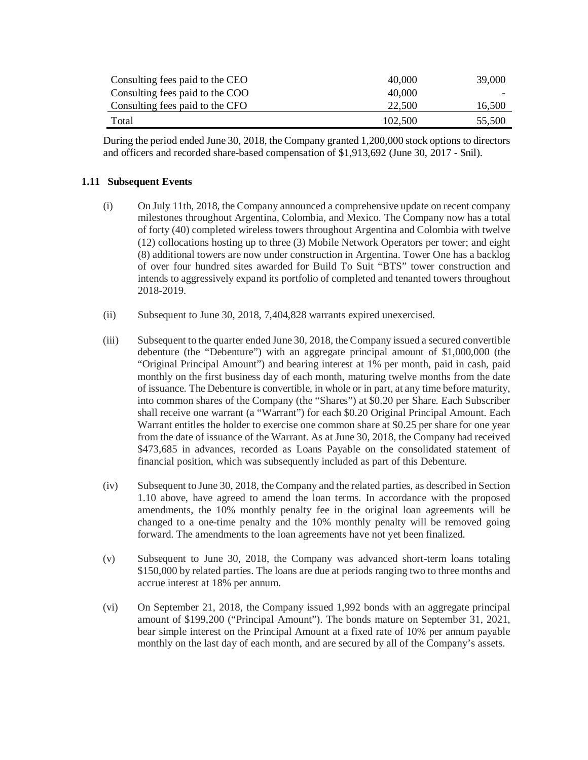| Consulting fees paid to the CEO | 40,000  | 39,000 |
|---------------------------------|---------|--------|
| Consulting fees paid to the COO | 40,000  |        |
| Consulting fees paid to the CFO | 22.500  | 16,500 |
| Total                           | 102.500 | 55,500 |

During the period ended June 30, 2018, the Company granted 1,200,000 stock options to directors and officers and recorded share-based compensation of \$1,913,692 (June 30, 2017 - \$nil).

### **1.11 Subsequent Events**

- (i) On July 11th, 2018, the Company announced a comprehensive update on recent company milestones throughout Argentina, Colombia, and Mexico. The Company now has a total of forty (40) completed wireless towers throughout Argentina and Colombia with twelve (12) collocations hosting up to three (3) Mobile Network Operators per tower; and eight (8) additional towers are now under construction in Argentina. Tower One has a backlog of over four hundred sites awarded for Build To Suit "BTS" tower construction and intends to aggressively expand its portfolio of completed and tenanted towers throughout 2018-2019.
- (ii) Subsequent to June 30, 2018, 7,404,828 warrants expired unexercised.
- (iii) Subsequent to the quarter ended June 30, 2018, the Company issued a secured convertible debenture (the "Debenture") with an aggregate principal amount of \$1,000,000 (the "Original Principal Amount") and bearing interest at 1% per month, paid in cash, paid monthly on the first business day of each month, maturing twelve months from the date of issuance. The Debenture is convertible, in whole or in part, at any time before maturity, into common shares of the Company (the "Shares") at \$0.20 per Share. Each Subscriber shall receive one warrant (a "Warrant") for each \$0.20 Original Principal Amount. Each Warrant entitles the holder to exercise one common share at \$0.25 per share for one year from the date of issuance of the Warrant. As at June 30, 2018, the Company had received \$473,685 in advances, recorded as Loans Payable on the consolidated statement of financial position, which was subsequently included as part of this Debenture.
- (iv) Subsequent to June 30, 2018, the Company and the related parties, as described in Section 1.10 above, have agreed to amend the loan terms. In accordance with the proposed amendments, the 10% monthly penalty fee in the original loan agreements will be changed to a one-time penalty and the 10% monthly penalty will be removed going forward. The amendments to the loan agreements have not yet been finalized.
- (v) Subsequent to June 30, 2018, the Company was advanced short-term loans totaling \$150,000 by related parties. The loans are due at periods ranging two to three months and accrue interest at 18% per annum.
- (vi) On September 21, 2018, the Company issued 1,992 bonds with an aggregate principal amount of \$199,200 ("Principal Amount"). The bonds mature on September 31, 2021, bear simple interest on the Principal Amount at a fixed rate of 10% per annum payable monthly on the last day of each month, and are secured by all of the Company's assets.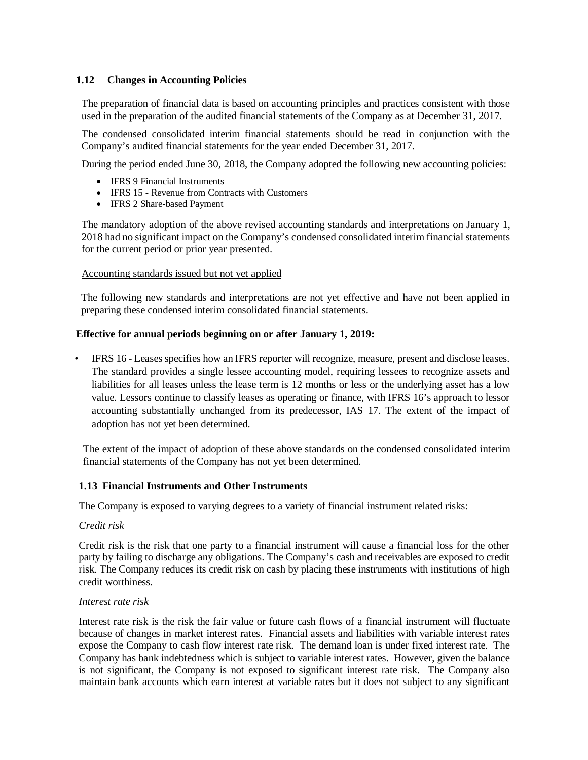## **1.12 Changes in Accounting Policies**

The preparation of financial data is based on accounting principles and practices consistent with those used in the preparation of the audited financial statements of the Company as at December 31, 2017.

The condensed consolidated interim financial statements should be read in conjunction with the Company's audited financial statements for the year ended December 31, 2017.

During the period ended June 30, 2018, the Company adopted the following new accounting policies:

- IFRS 9 Financial Instruments
- IFRS 15 Revenue from Contracts with Customers
- IFRS 2 Share-based Payment

The mandatory adoption of the above revised accounting standards and interpretations on January 1, 2018 had no significant impact on the Company's condensed consolidated interim financial statements for the current period or prior year presented.

#### Accounting standards issued but not yet applied

The following new standards and interpretations are not yet effective and have not been applied in preparing these condensed interim consolidated financial statements.

#### **Effective for annual periods beginning on or after January 1, 2019:**

• IFRS 16 - Leases specifies how an IFRS reporter will recognize, measure, present and disclose leases. The standard provides a single lessee accounting model, requiring lessees to recognize assets and liabilities for all leases unless the lease term is 12 months or less or the underlying asset has a low value. Lessors continue to classify leases as operating or finance, with IFRS 16's approach to lessor accounting substantially unchanged from its predecessor, IAS 17. The extent of the impact of adoption has not yet been determined.

The extent of the impact of adoption of these above standards on the condensed consolidated interim financial statements of the Company has not yet been determined.

#### **1.13 Financial Instruments and Other Instruments**

The Company is exposed to varying degrees to a variety of financial instrument related risks:

#### *Credit risk*

Credit risk is the risk that one party to a financial instrument will cause a financial loss for the other party by failing to discharge any obligations. The Company's cash and receivables are exposed to credit risk. The Company reduces its credit risk on cash by placing these instruments with institutions of high credit worthiness.

#### *Interest rate risk*

Interest rate risk is the risk the fair value or future cash flows of a financial instrument will fluctuate because of changes in market interest rates. Financial assets and liabilities with variable interest rates expose the Company to cash flow interest rate risk. The demand loan is under fixed interest rate. The Company has bank indebtedness which is subject to variable interest rates. However, given the balance is not significant, the Company is not exposed to significant interest rate risk. The Company also maintain bank accounts which earn interest at variable rates but it does not subject to any significant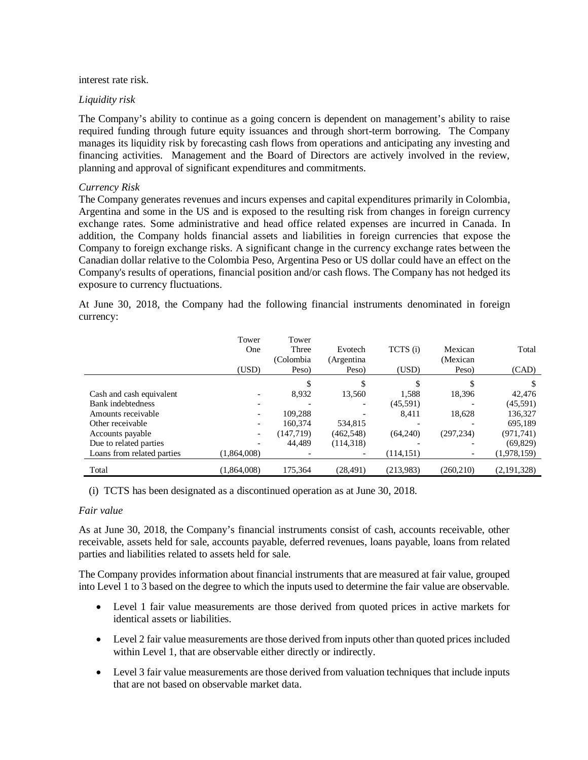interest rate risk.

### *Liquidity risk*

The Company's ability to continue as a going concern is dependent on management's ability to raise required funding through future equity issuances and through short-term borrowing. The Company manages its liquidity risk by forecasting cash flows from operations and anticipating any investing and financing activities. Management and the Board of Directors are actively involved in the review, planning and approval of significant expenditures and commitments.

## *Currency Risk*

The Company generates revenues and incurs expenses and capital expenditures primarily in Colombia, Argentina and some in the US and is exposed to the resulting risk from changes in foreign currency exchange rates. Some administrative and head office related expenses are incurred in Canada. In addition, the Company holds financial assets and liabilities in foreign currencies that expose the Company to foreign exchange risks. A significant change in the currency exchange rates between the Canadian dollar relative to the Colombia Peso, Argentina Peso or US dollar could have an effect on the Company's results of operations, financial position and/or cash flows. The Company has not hedged its exposure to currency fluctuations.

At June 30, 2018, the Company had the following financial instruments denominated in foreign currency:

|                            | Tower<br>One<br>(USD)    | Tower<br>Three<br>(Colombia)<br>Peso) | Evotech<br>(Argentina<br>Peso) | TCTS (i)<br>(USD) | Mexican<br>(Mexican<br>Peso) | Total<br>(CAD) |
|----------------------------|--------------------------|---------------------------------------|--------------------------------|-------------------|------------------------------|----------------|
|                            |                          | \$                                    |                                | \$.               |                              |                |
| Cash and cash equivalent   |                          | 8,932                                 | 13,560                         | 1.588             | 18,396                       | 42,476         |
| <b>Bank</b> indebtedness   |                          |                                       |                                | (45,591)          |                              | (45,591)       |
| Amounts receivable         |                          | 109.288                               |                                | 8.411             | 18.628                       | 136,327        |
| Other receivable           |                          | 160.374                               | 534,815                        |                   |                              | 695,189        |
| Accounts payable           | $\overline{\phantom{a}}$ | (147, 719)                            | (462, 548)                     | (64,240)          | (297, 234)                   | (971, 741)     |
| Due to related parties     |                          | 44.489                                | (114, 318)                     |                   |                              | (69, 829)      |
| Loans from related parties | (1,864,008)              |                                       |                                | (114, 151)        |                              | (1,978,159)    |
| Total                      | (1.864.008)              | 175,364                               | (28, 491)                      | (213,983)         | (260.210)                    | (2,191,328)    |

(i) TCTS has been designated as a discontinued operation as at June 30, 2018.

### *Fair value*

As at June 30, 2018, the Company's financial instruments consist of cash, accounts receivable, other receivable, assets held for sale, accounts payable, deferred revenues, loans payable, loans from related parties and liabilities related to assets held for sale.

The Company provides information about financial instruments that are measured at fair value, grouped into Level 1 to 3 based on the degree to which the inputs used to determine the fair value are observable.

- Level 1 fair value measurements are those derived from quoted prices in active markets for identical assets or liabilities.
- Level 2 fair value measurements are those derived from inputs other than quoted prices included within Level 1, that are observable either directly or indirectly.
- Level 3 fair value measurements are those derived from valuation techniques that include inputs that are not based on observable market data.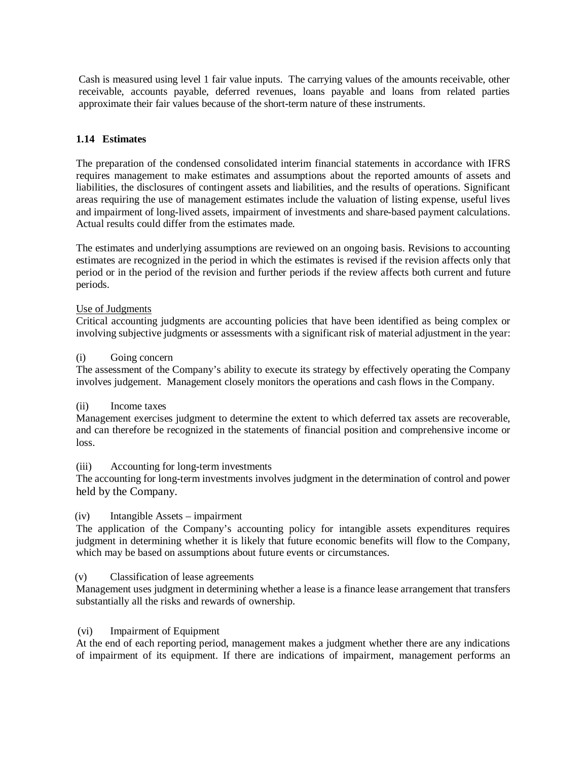Cash is measured using level 1 fair value inputs. The carrying values of the amounts receivable, other receivable, accounts payable, deferred revenues, loans payable and loans from related parties approximate their fair values because of the short-term nature of these instruments.

## **1.14 Estimates**

The preparation of the condensed consolidated interim financial statements in accordance with IFRS requires management to make estimates and assumptions about the reported amounts of assets and liabilities, the disclosures of contingent assets and liabilities, and the results of operations. Significant areas requiring the use of management estimates include the valuation of listing expense, useful lives and impairment of long-lived assets, impairment of investments and share-based payment calculations. Actual results could differ from the estimates made.

The estimates and underlying assumptions are reviewed on an ongoing basis. Revisions to accounting estimates are recognized in the period in which the estimates is revised if the revision affects only that period or in the period of the revision and further periods if the review affects both current and future periods.

#### Use of Judgments

Critical accounting judgments are accounting policies that have been identified as being complex or involving subjective judgments or assessments with a significant risk of material adjustment in the year:

#### (i) Going concern

The assessment of the Company's ability to execute its strategy by effectively operating the Company involves judgement. Management closely monitors the operations and cash flows in the Company.

### (ii) Income taxes

Management exercises judgment to determine the extent to which deferred tax assets are recoverable, and can therefore be recognized in the statements of financial position and comprehensive income or loss.

#### (iii) Accounting for long-term investments

The accounting for long-term investments involves judgment in the determination of control and power held by the Company.

### (iv) Intangible Assets – impairment

The application of the Company's accounting policy for intangible assets expenditures requires judgment in determining whether it is likely that future economic benefits will flow to the Company, which may be based on assumptions about future events or circumstances.

### (v) Classification of lease agreements

Management uses judgment in determining whether a lease is a finance lease arrangement that transfers substantially all the risks and rewards of ownership.

#### (vi) Impairment of Equipment

At the end of each reporting period, management makes a judgment whether there are any indications of impairment of its equipment. If there are indications of impairment, management performs an